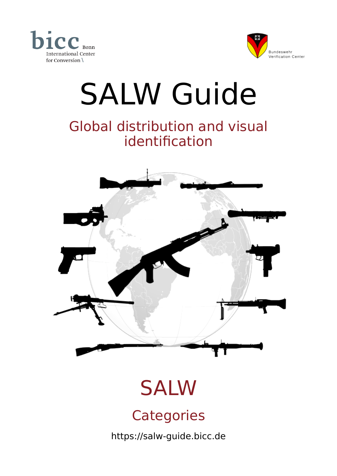



# SALW Guide Global distribution and visual identification  $\cup$

## **SALW**

## **Categories**

<https://salw-guide.bicc.de>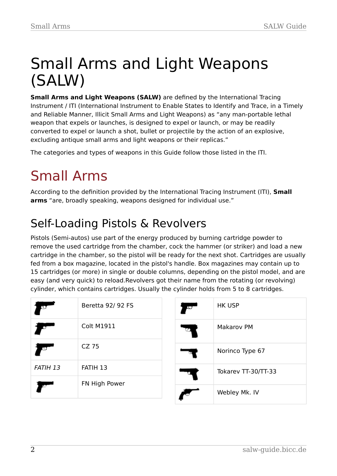## Small Arms and Light Weapons (SALW)

**Small Arms and Light Weapons (SALW)** are defined by the International Tracing Instrument / ITI ([International Instrument to Enable States to Identify and Trace, in a Timely](http://www.poa-iss.org/InternationalTracing/ITI_English.pdf) [and Reliable Manner, Illicit Small Arms and Light Weapons\)](http://www.poa-iss.org/InternationalTracing/ITI_English.pdf) as "any man-portable lethal weapon that expels or launches, is designed to expel or launch, or may be readily converted to expel or launch a shot, bullet or projectile by the action of an explosive, excluding antique small arms and light weapons or their replicas."

The categories and types of weapons in this Guide follow those listed in the ITI.

## Small Arms

According to the definition provided by the International Tracing Instrument (ITI), **Small arms** "are, broadly speaking, weapons designed for individual use."

#### Self-Loading Pistols & Revolvers

Pistols (Semi-autos) use part of the energy produced by burning cartridge powder to remove the used cartridge from the chamber, cock the hammer (or striker) and load a new cartridge in the chamber, so the pistol will be ready for the next shot. Cartridges are usually fed from a box magazine, located in the pistol's handle. Box magazines may contain up to 15 cartridges (or more) in single or double columns, depending on the pistol model, and are easy (and very quick) to reload.Revolvers got their name from the rotating (or revolving) cylinder, which contains cartridges. Usually the cylinder holds from 5 to 8 cartridges.

|                 | Beretta 92/92 FS  |  |
|-----------------|-------------------|--|
|                 | <b>Colt M1911</b> |  |
|                 | CZ 75             |  |
| <b>FATIH 13</b> | FATIH 13          |  |
|                 | FN High Power     |  |

| <b>HK USP</b>       |
|---------------------|
| Makarov PM          |
| Norinco Type 67     |
| Tokarev TT-30/TT-33 |
| Webley Mk. IV       |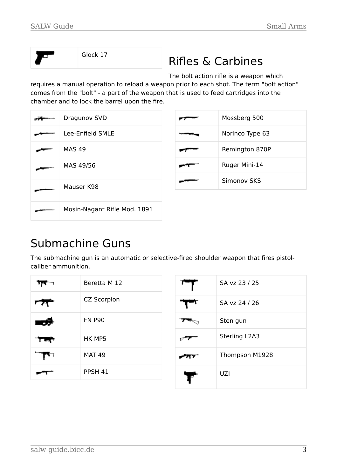|--|--|

## [Glock 17](https://salw-guide.bicc.de/en/weapon/view/2/glock-17) Rifles & Carbines

The bolt action rifle is a weapon which

requires a manual operation to reload a weapon prior to each shot. The term "bolt action" comes from the "bolt" - a part of the weapon that is used to feed cartridges into the chamber and to lock the barrel upon the fire.

| Dragunov SVD                 |
|------------------------------|
| Lee-Enfield SMLE             |
| <b>MAS 49</b>                |
| MAS 49/56                    |
| Mauser K98                   |
| Mosin-Nagant Rifle Mod. 1891 |

| Mossberg 500    |  |  |  |
|-----------------|--|--|--|
| Norinco Type 63 |  |  |  |
| Remington 870P  |  |  |  |
| Ruger Mini-14   |  |  |  |
| Simonov SKS     |  |  |  |

#### Submachine Guns

The submachine gun is an automatic or selective-fired shoulder weapon that fires pistolcaliber ammunition.

|      | Beretta M 12       |  |  |  |
|------|--------------------|--|--|--|
|      | <b>CZ Scorpion</b> |  |  |  |
| —a a | <b>FN P90</b>      |  |  |  |
|      | HK MP5             |  |  |  |
| ᄗ    | <b>MAT 49</b>      |  |  |  |
|      | PPSH <sub>41</sub> |  |  |  |

|          | SA vz 23 / 25  |
|----------|----------------|
|          | SA vz 24 / 26  |
|          | Sten gun       |
|          | Sterling L2A3  |
|          | Thompson M1928 |
| <b>P</b> | UZI            |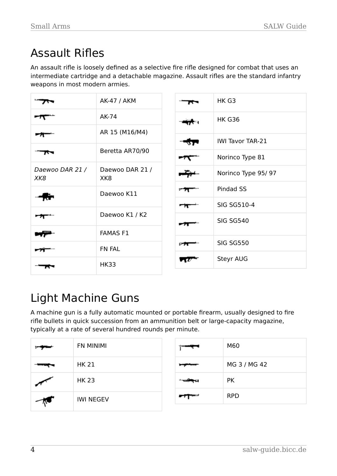#### Assault Rifles

An assault rifle is loosely defined as a selective fire rifle designed for combat that uses an intermediate cartridge and a detachable magazine. Assault rifles are the standard infantry weapons in most modern armies.

|                        | AK-47 / AKM            |   | HK G3                   |
|------------------------|------------------------|---|-------------------------|
|                        | AK-74                  |   | <b>HK G36</b>           |
|                        | AR 15 (M16/M4)         |   |                         |
|                        |                        |   | <b>IWI Tavor TAR-21</b> |
|                        | Beretta AR70/90        |   | Norinco Type 81         |
| Daewoo DAR 21 /<br>XK8 | Daewoo DAR 21 /<br>XK8 |   | Norinco Type 95/97      |
|                        | Daewoo K11             |   | Pindad SS               |
|                        |                        | ┯ | <b>SIG SG510-4</b>      |
|                        | Daewoo K1 / K2         |   | <b>SIG SG540</b>        |
|                        | <b>FAMAS F1</b>        |   |                         |
|                        |                        |   | <b>SIG SG550</b>        |
|                        | FN FAL                 |   |                         |
|                        | <b>HK33</b>            |   | Steyr AUG               |

#### Light Machine Guns

A machine gun is a fully automatic mounted or portable firearm, usually designed to fire rifle bullets in quick succession from an ammunition belt or large-capacity magazine, typically at a rate of several hundred rounds per minute.

| <b>FN MINIMI</b> |
|------------------|
| <b>HK 21</b>     |
| <b>HK 23</b>     |
| <b>IWI NEGEV</b> |

|                          | M60          |
|--------------------------|--------------|
|                          | MG 3 / MG 42 |
|                          | <b>PK</b>    |
| $\overline{\phantom{a}}$ | <b>RPD</b>   |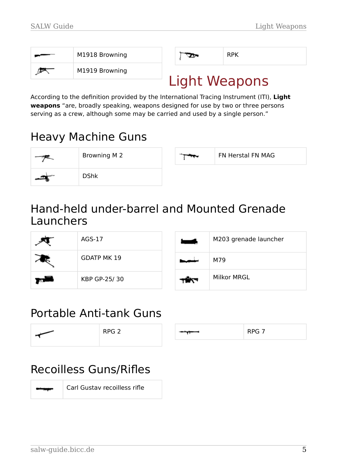| M1918 Browning | $\mathbf{c}$ | <b>RPK</b> |
|----------------|--------------|------------|
| M1919 Browning | $l$ inht $M$ |            |

## Light Weapons

According to the definition provided by the International Tracing Instrument (ITI), **Light weapons** "are, broadly speaking, weapons designed for use by two or three persons serving as a crew, although some may be carried and used by a single person."

#### Heavy Machine Guns

| Browning M 2 |  | FN Herstal FN MAG |
|--------------|--|-------------------|
| <b>DShk</b>  |  |                   |

#### Hand-held under-barrel and Mounted Grenade Launchers

| AGS-17             |
|--------------------|
| <b>GDATP MK 19</b> |
| KBP GP-25/30       |

| M203 grenade launcher |
|-----------------------|
| M79                   |
| Milkor MRGL           |

#### Portable Anti-tank Guns

| RPG <sub>2</sub> |  |  | <b>DDC7</b><br>ັ<br>. |
|------------------|--|--|-----------------------|
|------------------|--|--|-----------------------|

#### Recoilless Guns/Rifles



[Carl Gustav recoilless rifle](https://salw-guide.bicc.de/en/weapon/view/43/carl-gustav-recoilless-rifle)